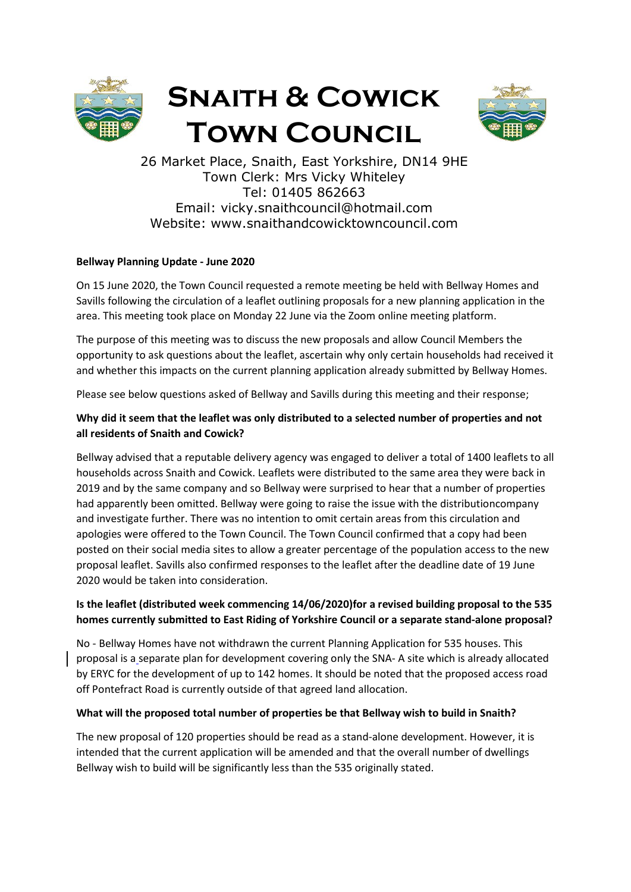

# Snaith & Cowick Town Council



26 Market Place, Snaith, East Yorkshire, DN14 9HE Town Clerk: Mrs Vicky Whiteley Tel: 01405 862663 Email: vicky.snaithcouncil@hotmail.com Website: www.snaithandcowicktowncouncil.com

## Bellway Planning Update - June 2020

On 15 June 2020, the Town Council requested a remote meeting be held with Bellway Homes and Savills following the circulation of a leaflet outlining proposals for a new planning application in the area. This meeting took place on Monday 22 June via the Zoom online meeting platform.

The purpose of this meeting was to discuss the new proposals and allow Council Members the opportunity to ask questions about the leaflet, ascertain why only certain households had received it and whether this impacts on the current planning application already submitted by Bellway Homes.

Please see below questions asked of Bellway and Savills during this meeting and their response;

## Why did it seem that the leaflet was only distributed to a selected number of properties and not all residents of Snaith and Cowick?

Bellway advised that a reputable delivery agency was engaged to deliver a total of 1400 leaflets to all households across Snaith and Cowick. Leaflets were distributed to the same area they were back in 2019 and by the same company and so Bellway were surprised to hear that a number of properties had apparently been omitted. Bellway were going to raise the issue with the distributioncompany and investigate further. There was no intention to omit certain areas from this circulation and apologies were offered to the Town Council. The Town Council confirmed that a copy had been posted on their social media sites to allow a greater percentage of the population access to the new proposal leaflet. Savills also confirmed responses to the leaflet after the deadline date of 19 June 2020 would be taken into consideration.

## Is the leaflet (distributed week commencing 14/06/2020)for a revised building proposal to the 535 homes currently submitted to East Riding of Yorkshire Council or a separate stand-alone proposal?

No - Bellway Homes have not withdrawn the current Planning Application for 535 houses. This proposal is a separate plan for development covering only the SNA- A site which is already allocated by ERYC for the development of up to 142 homes. It should be noted that the proposed access road off Pontefract Road is currently outside of that agreed land allocation.

### What will the proposed total number of properties be that Bellway wish to build in Snaith?

The new proposal of 120 properties should be read as a stand-alone development. However, it is intended that the current application will be amended and that the overall number of dwellings Bellway wish to build will be significantly less than the 535 originally stated.